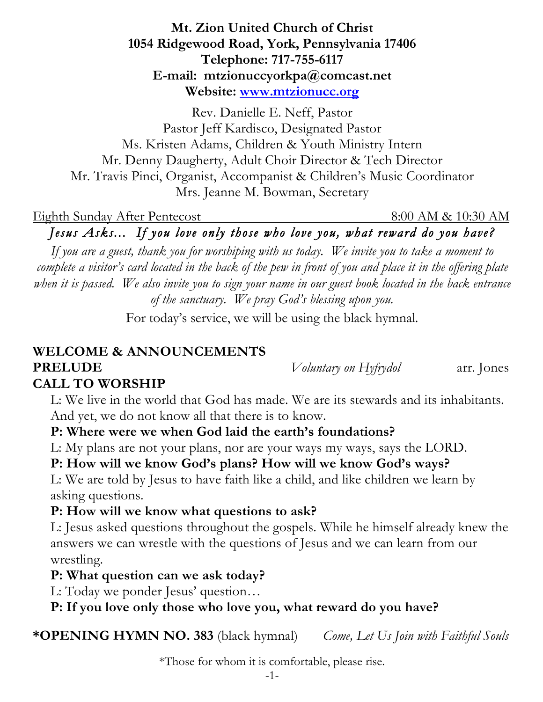#### **Mt. Zion United Church of Christ 1054 Ridgewood Road, York, Pennsylvania 17406 Telephone: 717-755-6117 E-mail: mtzionuccyorkpa@comcast.net Website: www.mtzionucc.org**

Rev. Danielle E. Neff, Pastor Pastor Jeff Kardisco, Designated Pastor Ms. Kristen Adams, Children & Youth Ministry Intern Mr. Denny Daugherty, Adult Choir Director & Tech Director Mr. Travis Pinci, Organist, Accompanist & Children's Music Coordinator Mrs. Jeanne M. Bowman, Secretary

Eighth Sunday After Pentecost 8:00 AM & 10:30 AM

*Jesus Asks... If you love only those who love you, what reward do you have?* 

*If you are a guest, thank you for worshiping with us today. We invite you to take a moment to complete a visitor's card located in the back of the pew in front of you and place it in the offering plate when it is passed. We also invite you to sign your name in our guest book located in the back entrance of the sanctuary. We pray God's blessing upon you.*

For today's service, we will be using the black hymnal.

# **WELCOME & ANNOUNCEMENTS PRELUDE** *Voluntary on Hyfrydol* arr. Jones

# **CALL TO WORSHIP**

 L: We live in the world that God has made. We are its stewards and its inhabitants. And yet, we do not know all that there is to know.

## **P: Where were we when God laid the earth's foundations?**

L: My plans are not your plans, nor are your ways my ways, says the LORD.

# **P: How will we know God's plans? How will we know God's ways?**

 L: We are told by Jesus to have faith like a child, and like children we learn by asking questions.

#### **P: How will we know what questions to ask?**

 L: Jesus asked questions throughout the gospels. While he himself already knew the answers we can wrestle with the questions of Jesus and we can learn from our wrestling.

#### **P: What question can we ask today?**

L: Today we ponder Jesus' question…

## **P: If you love only those who love you, what reward do you have?**

**\*OPENING HYMN NO. 383** (black hymnal)*Come, Let Us Join with Faithful Souls*

\*Those for whom it is comfortable, please rise.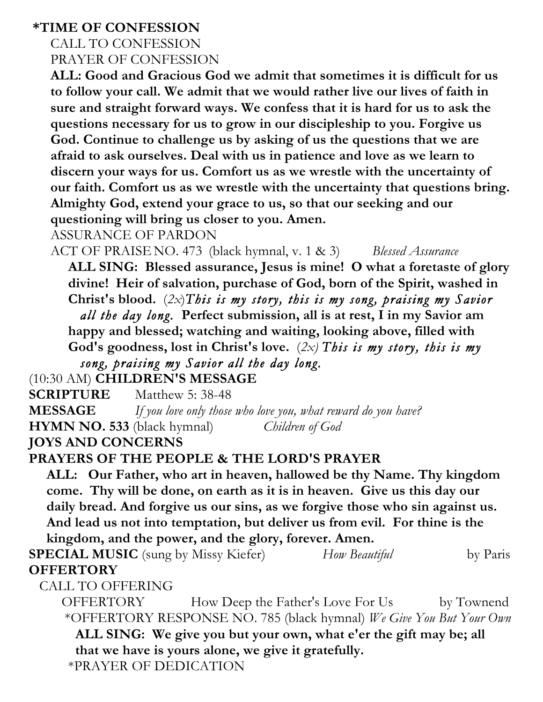#### **\*TIME OF CONFESSION**

# CALL TO CONFESSION PRAYER OF CONFESSION

 **ALL: Good and Gracious God we admit that sometimes it is difficult for us to follow your call. We admit that we would rather live our lives of faith in sure and straight forward ways. We confess that it is hard for us to ask the questions necessary for us to grow in our discipleship to you. Forgive us God. Continue to challenge us by asking of us the questions that we are afraid to ask ourselves. Deal with us in patience and love as we learn to discern your ways for us. Comfort us as we wrestle with the uncertainty of our faith. Comfort us as we wrestle with the uncertainty that questions bring. Almighty God, extend your grace to us, so that our seeking and our questioning will bring us closer to you. Amen.**

ASSURANCE OF PARDON

ACT OF PRAISE NO. 473 (black hymnal, v. 1 & 3) *Blessed Assurance* 

 **ALL SING: Blessed assurance, Jesus is mine! O what a foretaste of glory divine! Heir of salvation, purchase of God, born of the Spirit, washed in Christ's blood.** (*2x*)*This is my story, this is my song, praising my Savior all the day long.* **Perfect submission, all is at rest, I in my Savior am happy and blessed; watching and waiting, looking above, filled with God's goodness, lost in Christ's love.** (*2x) This is my story, this is my* 

 *song, praising my Savior all the day long.*

(10:30 AM) **CHILDREN'S MESSAGE**

**SCRIPTURE** Matthew 5: 38-48 **MESSAGE** *If you love only those who love you, what reward do you have?* **HYMN NO. 533** (black hymnal)*Children of God*

**JOYS AND CONCERNS**

#### **PRAYERS OF THE PEOPLE & THE LORD'S PRAYER**

 **ALL: Our Father, who art in heaven, hallowed be thy Name. Thy kingdom come. Thy will be done, on earth as it is in heaven. Give us this day our daily bread. And forgive us our sins, as we forgive those who sin against us. And lead us not into temptation, but deliver us from evil. For thine is the kingdom, and the power, and the glory, forever. Amen.**

**SPECIAL MUSIC** (sung by Missy Kiefer) *How Beautiful* by Paris **OFFERTORY** 

CALL TO OFFERING

 OFFERTORY How Deep the Father's Love For Us by Townend \*OFFERTORY RESPONSE NO. 785 (black hymnal) *We Give You But Your Own* **ALL SING: We give you but your own, what e'er the gift may be; all that we have is yours alone, we give it gratefully.** \*PRAYER OF DEDICATION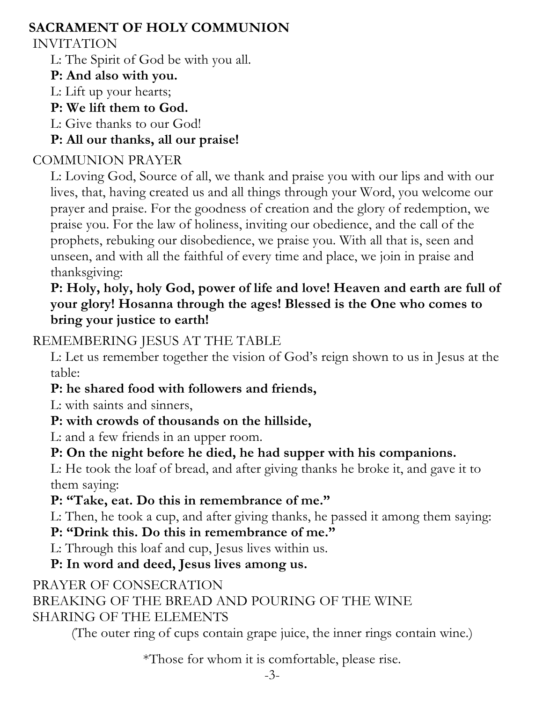### **SACRAMENT OF HOLY COMMUNION**

#### INVITATION

L: The Spirit of God be with you all.

#### **P: And also with you.**

L: Lift up your hearts;

#### **P: We lift them to God.**

L: Give thanks to our God!

## **P: All our thanks, all our praise!**

## COMMUNION PRAYER

 L: Loving God, Source of all, we thank and praise you with our lips and with our lives, that, having created us and all things through your Word, you welcome our prayer and praise. For the goodness of creation and the glory of redemption, we praise you. For the law of holiness, inviting our obedience, and the call of the prophets, rebuking our disobedience, we praise you. With all that is, seen and unseen, and with all the faithful of every time and place, we join in praise and thanksgiving:

#### **P: Holy, holy, holy God, power of life and love! Heaven and earth are full of your glory! Hosanna through the ages! Blessed is the One who comes to bring your justice to earth!**

## REMEMBERING JESUS AT THE TABLE

 L: Let us remember together the vision of God's reign shown to us in Jesus at the table:

## **P: he shared food with followers and friends,**

L: with saints and sinners,

# **P: with crowds of thousands on the hillside,**

L: and a few friends in an upper room.

## **P: On the night before he died, he had supper with his companions.**

 L: He took the loaf of bread, and after giving thanks he broke it, and gave it to them saying:

# **P: "Take, eat. Do this in remembrance of me."**

L: Then, he took a cup, and after giving thanks, he passed it among them saying:

#### **P: "Drink this. Do this in remembrance of me."**

L: Through this loaf and cup, Jesus lives within us.

# **P: In word and deed, Jesus lives among us.**

# PRAYER OF CONSECRATION

# BREAKING OF THE BREAD AND POURING OF THE WINE

## SHARING OF THE ELEMENTS

(The outer ring of cups contain grape juice, the inner rings contain wine.)

\*Those for whom it is comfortable, please rise.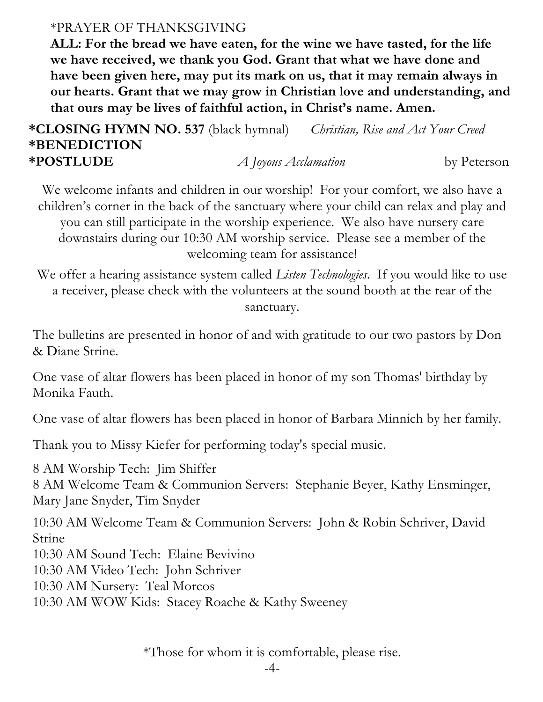#### \*PRAYER OF THANKSGIVING

 **ALL: For the bread we have eaten, for the wine we have tasted, for the life we have received, we thank you God. Grant that what we have done and have been given here, may put its mark on us, that it may remain always in our hearts. Grant that we may grow in Christian love and understanding, and that ours may be lives of faithful action, in Christ's name. Amen.**

**\*CLOSING HYMN NO. 537** (black hymnal) *Christian, Rise and Act Your Creed* **\*BENEDICTION \*POSTLUDE** *A Joyous Acclamation* by Peterson

We welcome infants and children in our worship! For your comfort, we also have a children's corner in the back of the sanctuary where your child can relax and play and you can still participate in the worship experience. We also have nursery care downstairs during our 10:30 AM worship service. Please see a member of the welcoming team for assistance!

We offer a hearing assistance system called *Listen Technologies*. If you would like to use a receiver, please check with the volunteers at the sound booth at the rear of the sanctuary.

The bulletins are presented in honor of and with gratitude to our two pastors by Don & Diane Strine.

One vase of altar flowers has been placed in honor of my son Thomas' birthday by Monika Fauth.

One vase of altar flowers has been placed in honor of Barbara Minnich by her family.

Thank you to Missy Kiefer for performing today's special music.

8 AM Worship Tech: Jim Shiffer 8 AM Welcome Team & Communion Servers: Stephanie Beyer, Kathy Ensminger, Mary Jane Snyder, Tim Snyder

10:30 AM Welcome Team & Communion Servers: John & Robin Schriver, David Strine

10:30 AM Sound Tech: Elaine Bevivino

10:30 AM Video Tech: John Schriver

10:30 AM Nursery: Teal Morcos

10:30 AM WOW Kids: Stacey Roache & Kathy Sweeney

\*Those for whom it is comfortable, please rise.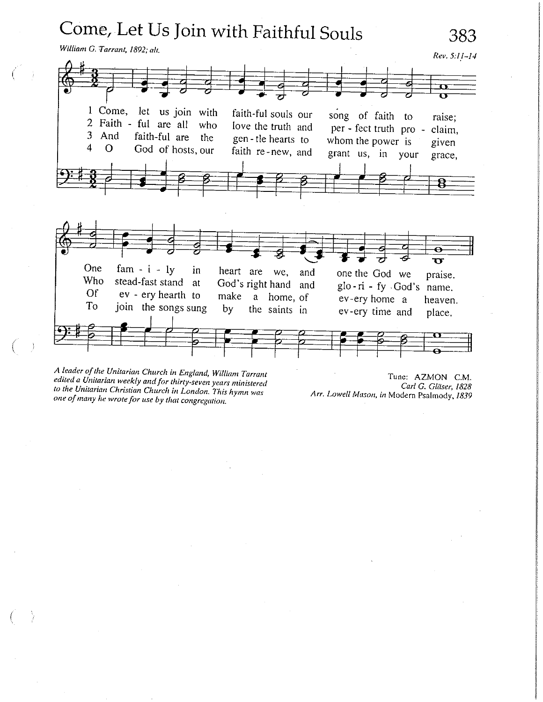

A leader of the Unitarian Church in England, William Tarrant edited a Unitarian weekly and for thirty-seven years ministered to the Unitarian Christian Church in London. This hymn was one of many he wrote for use by that congregation.

Tune: AZMON C.M. Carl G. Gläser, 1828 Arr. Lowell Mason, in Modern Psalmody, 1839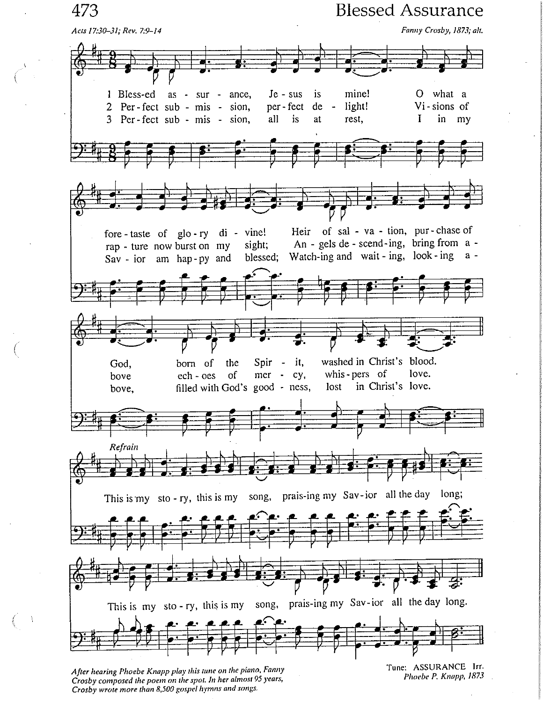473

**Blessed Assurance** 



After hearing Phoebe Knapp play this tune on the piano, Fanny Crosby composed the poem on the spot. In her almost 95 years, Crosby wrote more than 8,500 gospel hymns and songs.

Tune: ASSURANCE Irr. Phoebe P. Knapp, 1873

 $\mathcal{L}$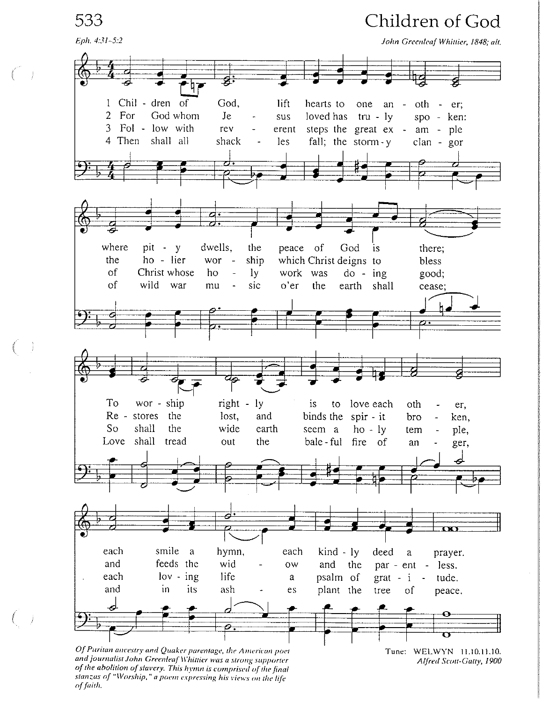533

Eph. 4:31-5:2

# Children of God

John Greenleaf Whittier, 1848; alt.



and journalist John Greenleaf Whittier was a strong supporter of the abolition of slavery. This hymn is comprised of the final stanzas of "Worship," a poem expressing his views on the life of faith.

Tune: WELWYN 11.10.11.10. Alfred Scott-Gatty, 1900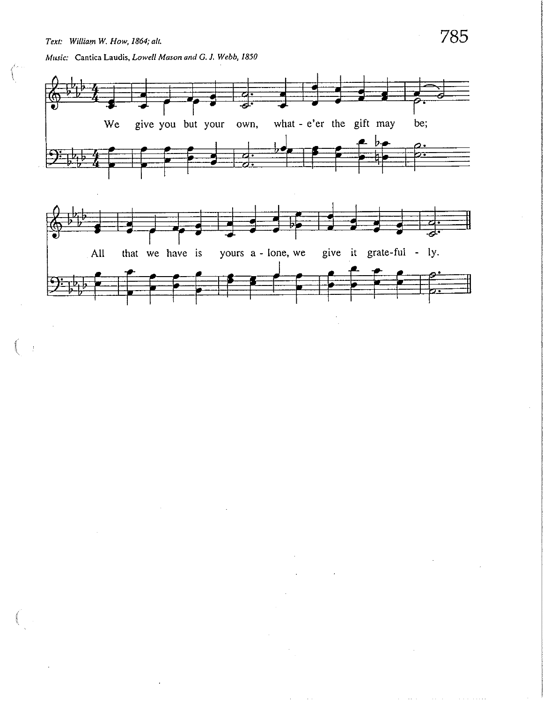$\bar{z}$ 

Music: Cantica Laudis, Lowell Mason and G. J. Webb, 1850



785